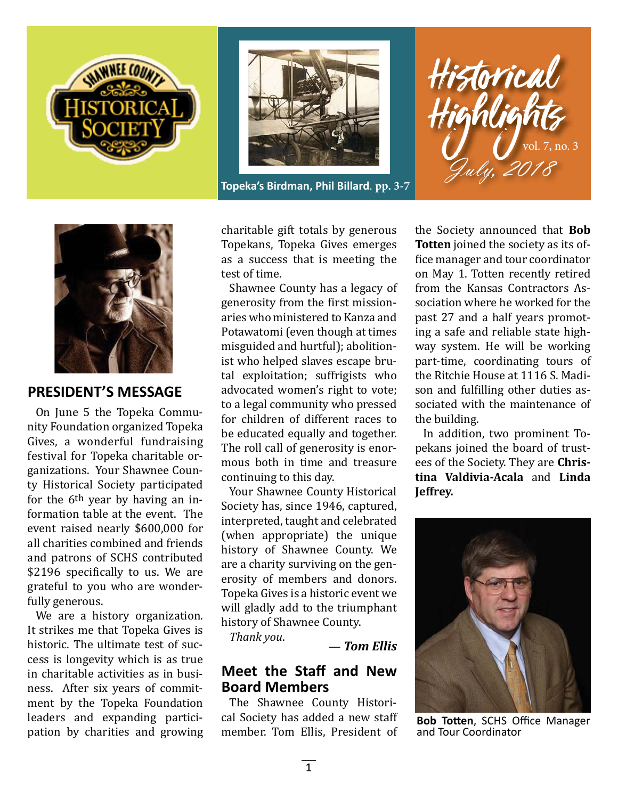



**Topeka's Birdman, Phil Billard**. **pp. 3-7**



#### **PRESIDENT'S MESSAGE**

On June 5 the Topeka Community Foundation organized Topeka Gives, a wonderful fundraising festival for Topeka charitable organizations. Your Shawnee County Historical Society participated for the 6th year by having an information table at the event. The event raised nearly \$600,000 for all charities combined and friends and patrons of SCHS contributed \$2196 specifically to us. We are grateful to you who are wonderfully generous.

We are a history organization. It strikes me that Topeka Gives is historic. The ultimate test of success is longevity which is as true in charitable activities as in business. After six years of commitment by the Topeka Foundation leaders and expanding participation by charities and growing charitable gift totals by generous Topekans, Topeka Gives emerges as a success that is meeting the test of time.

Shawnee County has a legacy of generosity from the first missionaries who ministered to Kanza and Potawatomi (even though at times misguided and hurtful); abolitionist who helped slaves escape brutal exploitation; suffrigists who advocated women's right to vote; to a legal community who pressed for children of different races to be educated equally and together. The roll call of generosity is enormous both in time and treasure continuing to this day.

Your Shawnee County Historical Society has, since 1946, captured, interpreted, taught and celebrated (when appropriate) the unique history of Shawnee County. We are a charity surviving on the generosity of members and donors. Topeka Gives is a historic event we will gladly add to the triumphant history of Shawnee County.

*Thank you*. — *Tom Ellis*

#### **Meet the Staff and New Board Members**

The Shawnee County Historical Society has added a new staff member. Tom Ellis, President of the Society announced that **Bob Totten** joined the society as its office manager and tour coordinator on May 1. Totten recently retired from the Kansas Contractors Association where he worked for the past 27 and a half years promoting a safe and reliable state highway system. He will be working part-time, coordinating tours of the Ritchie House at 1116 S. Madison and fulfilling other duties associated with the maintenance of the building.

Highlights

Vvol. 7, no. 3

In addition, two prominent Topekans joined the board of trustees of the Society. They are **Christina Valdivia-Acala** and **Linda Jeffrey.** 



**Bob Totten, SCHS Office Manager** and Tour Coordinator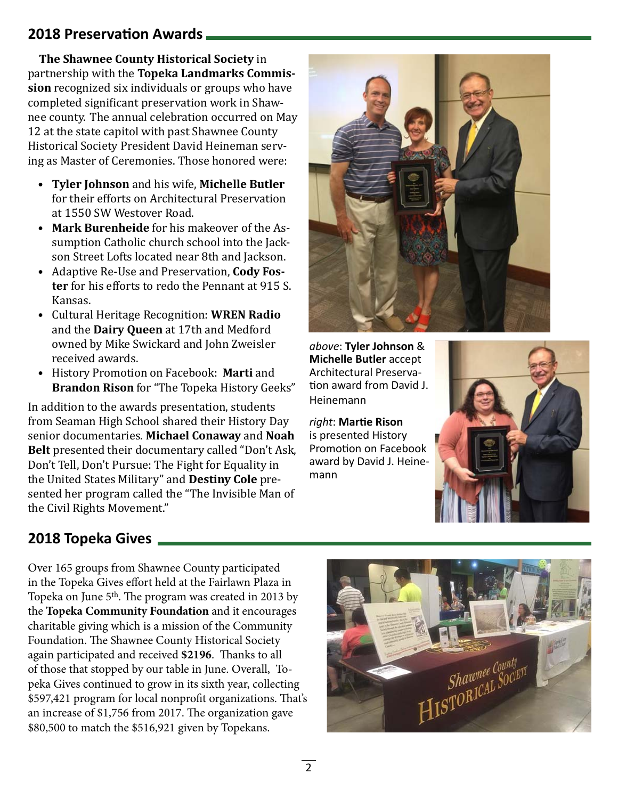#### **2018 Preservation Awards**

**The Shawnee County Historical Society** in partnership with the **Topeka Landmarks Commission** recognized six individuals or groups who have completed significant preservation work in Shawnee county. The annual celebration occurred on May 12 at the state capitol with past Shawnee County Historical Society President David Heineman serving as Master of Ceremonies. Those honored were:

- **Tyler Johnson** and his wife, **Michelle Butler** for their efforts on Architectural Preservation at 1550 SW Westover Road.
- **Mark Burenheide** for his makeover of the Assumption Catholic church school into the Jackson Street Lofts located near 8th and Jackson.
- Adaptive Re-Use and Preservation, **Cody Foster** for his efforts to redo the Pennant at 915 S. Kansas.
- Cultural Heritage Recognition: **WREN Radio** and the **Dairy Queen** at 17th and Medford owned by Mike Swickard and John Zweisler received awards.
- History Promotion on Facebook: **Marti** and **Brandon Rison** for "The Topeka History Geeks"

In addition to the awards presentation, students from Seaman High School shared their History Day senior documentaries. **Michael Conaway** and **Noah Belt** presented their documentary called "Don't Ask, Don't Tell, Don't Pursue: The Fight for Equality in the United States Military" and **Destiny Cole** presented her program called the "The Invisible Man of the Civil Rights Movement."



*above*: **Tyler Johnson** & **Michelle Butler** accept Architectural Preservation award from David J. Heinemann

*right*: **MarƟ e Rison** is presented History Promotion on Facebook award by David J. Heinemann



### **2018 Topeka Gives**

Over 165 groups from Shawnee County participated in the Topeka Gives effort held at the Fairlawn Plaza in Topeka on June 5<sup>th</sup>. The program was created in 2013 by the **Topeka Community Foundation** and it encourages charitable giving which is a mission of the Community Foundation. The Shawnee County Historical Society again participated and received \$2196. Thanks to all of those that stopped by our table in June. Overall, Topeka Gives continued to grow in its sixth year, collecting \$597,421 program for local nonprofit organizations. That's an increase of \$1,756 from 2017. The organization gave \$80,500 to match the \$516,921 given by Topekans.

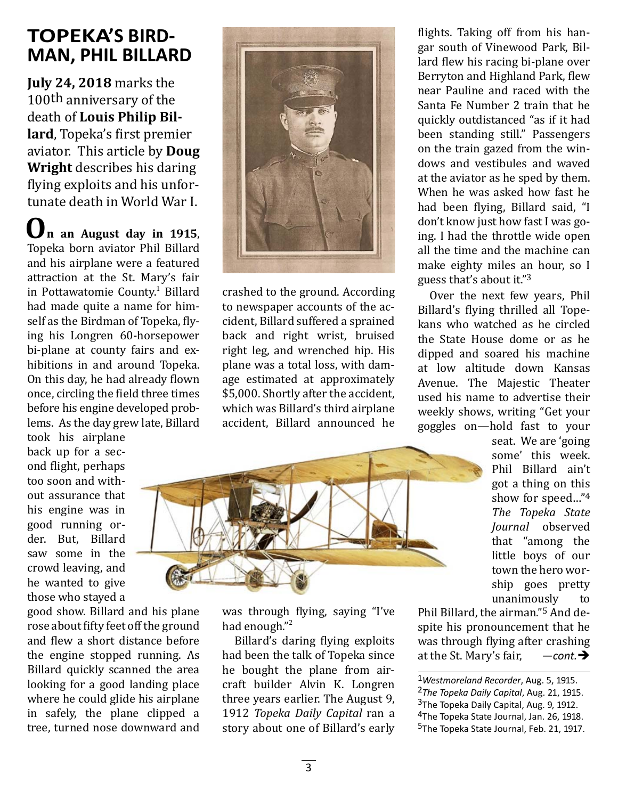## **TOPEKA'S BIRD-MAN, PHIL BILLARD**

**July 24, 2018** marks the 100th anniversary of the death of **Louis Philip Bil**lard, Topeka's first premier aviator. This article by **Doug Wright** describes his daring flying exploits and his unfortunate death in World War I.

i**n an August day in 1915**, **O**  Topeka born aviator Phil Billard and his airplane were a featured attraction at the St. Mary's fair in Pottawatomie County.<sup>1</sup> Billard had made quite a name for himself as the Birdman of Topeka, flying his Longren 60-horsepower bi-plane at county fairs and exhibitions in and around Topeka. On this day, he had already flown once, circling the field three times before his engine developed problems. As the day grew late, Billard

took his airplane back up for a second flight, perhaps too soon and without assurance that his engine was in good running order. But, Billard saw some in the crowd leaving, and he wanted to give those who stayed a

good show. Billard and his plane rose about fifty feet off the ground and flew a short distance before the engine stopped running. As Billard quickly scanned the area looking for a good landing place where he could glide his airplane in safely, the plane clipped a tree, turned nose downward and



crashed to the ground. According to newspaper accounts of the accident, Billard suffered a sprained back and right wrist, bruised right leg, and wrenched hip. His plane was a total loss, with damage estimated at approximately \$5,000. Shortly after the accident, which was Billard's third airplane accident, Billard announced he



was through flying, saying "I've had enough."<sup>2</sup>

Billard's daring flying exploits had been the talk of Topeka since he bought the plane from aircraft builder Alvin K. Longren three years earlier. The August 9, 1912 *Topeka Daily Capital* ran a story about one of Billard's early

flights. Taking off from his hangar south of Vinewood Park, Billard flew his racing bi-plane over Berryton and Highland Park, flew near Pauline and raced with the Santa Fe Number 2 train that he quickly outdistanced "as if it had been standing still." Passengers on the train gazed from the windows and vestibules and waved at the aviator as he sped by them. When he was asked how fast he had been flying, Billard said, "I don't know just how fast I was going. I had the throttle wide open all the time and the machine can make eighty miles an hour, so I guess that's about it."3

Over the next few years, Phil Billard's flying thrilled all Topekans who watched as he circled the State House dome or as he dipped and soared his machine at low altitude down Kansas Avenue. The Majestic Theater used his name to advertise their weekly shows, writing "Get your goggles on—hold fast to your

seat. We are 'going some' this week. Phil Billard ain't got a thing on this show for speed…"4 *The Topeka State Journal* observed that "among the little boys of our town the hero worship goes pretty unanimously to

Phil Billard, the airman."5 And despite his pronouncement that he was through flying after crashing at the St. Mary's fair,  $-$ *cont.* $\rightarrow$ 

<sup>1</sup>*Westmoreland Recorder*, Aug. 5, 1915.

<sup>2</sup>*The Topeka Daily Capital*, Aug. 21, 1915.

<sup>&</sup>lt;sup>3</sup>The Topeka Daily Capital, Aug. 9, 1912.

<sup>&</sup>lt;sup>4</sup>The Topeka State Journal, Jan. 26, 1918.

<sup>&</sup>lt;sup>5</sup>The Topeka State Journal, Feb. 21, 1917.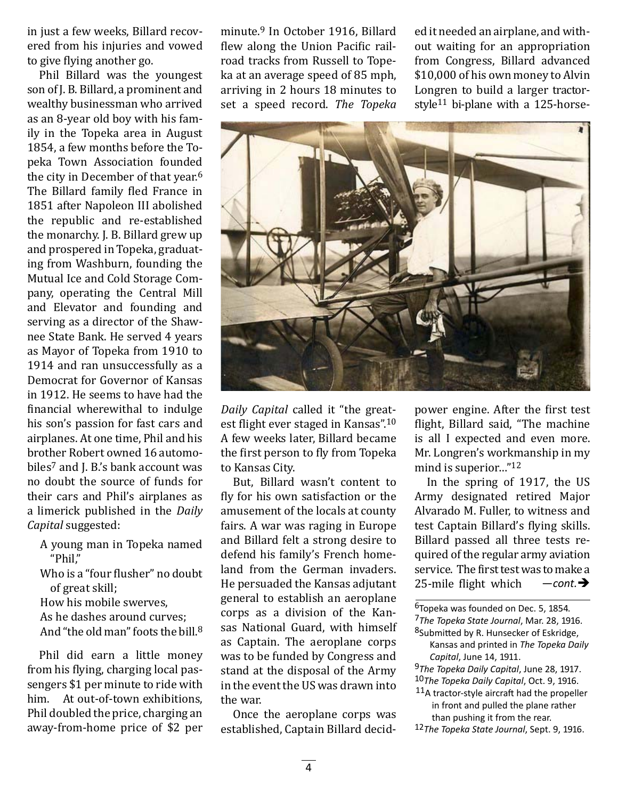in just a few weeks, Billard recovered from his injuries and vowed to give flying another go.

Phil Billard was the youngest son of J. B. Billard, a prominent and wealthy businessman who arrived as an 8-year old boy with his family in the Topeka area in August 1854, a few months before the Topeka Town Association founded the city in December of that year.6 The Billard family fled France in 1851 after Napoleon III abolished the republic and re-established the monarchy. J. B. Billard grew up and prospered in Topeka, graduating from Washburn, founding the Mutual Ice and Cold Storage Company, operating the Central Mill and Elevator and founding and serving as a director of the Shawnee State Bank. He served 4 years as Mayor of Topeka from 1910 to 1914 and ran unsuccessfully as a Democrat for Governor of Kansas in 1912. He seems to have had the financial wherewithal to indulge his son's passion for fast cars and airplanes. At one time, Phil and his brother Robert owned 16 automobiles<sup>7</sup> and J. B's bank account was no doubt the source of funds for their cars and Phil's airplanes as a limerick published in the *Daily Capital* suggested:

- A young man in Topeka named "Phil,"
- Who is a "four flusher" no doubt of great skill;
- How his mobile swerves,
- As he dashes around curves; And "the old man" foots the bill.8

Phil did earn a little money from his flying, charging local passengers \$1 per minute to ride with him. At out-of-town exhibitions, Phil doubled the price, charging an away-from-home price of \$2 per

minute.9 In October 1916, Billard flew along the Union Pacific railroad tracks from Russell to Topeka at an average speed of 85 mph, arriving in 2 hours 18 minutes to set a speed record. *The Topeka* 

ed it needed an airplane, and without waiting for an appropriation from Congress, Billard advanced \$10,000 of his own money to Alvin Longren to build a larger tractorstyle<sup>11</sup> bi-plane with a 125-horse-



*Daily Capital* called it "the greatest flight ever staged in Kansas".<sup>10</sup> A few weeks later, Billard became the first person to fly from Topeka to Kansas City.

But, Billard wasn't content to fly for his own satisfaction or the amusement of the locals at county fairs. A war was raging in Europe and Billard felt a strong desire to defend his family's French homeland from the German invaders. He persuaded the Kansas adjutant general to establish an aeroplane corps as a division of the Kansas National Guard, with himself as Captain. The aeroplane corps was to be funded by Congress and stand at the disposal of the Army in the event the US was drawn into the war.

Once the aeroplane corps was established, Captain Billard decidpower engine. After the first test flight, Billard said, "The machine is all I expected and even more. Mr. Longren's workmanship in my mind is superior…"12

In the spring of 1917, the US Army designated retired Major Alvarado M. Fuller, to witness and test Captain Billard's flying skills. Billard passed all three tests required of the regular army aviation service. The first test was to make a 25-mile flight which  $-$ *cont.* $\rightarrow$ 

6Topeka was founded on Dec. 5, 1854.

- 7*The Topeka State Journal*, Mar. 28, 1916.
- 8Submitted by R. Hunsecker of Eskridge, Kansas and printed in *The Topeka Daily Capital*, June 14, 1911.

9*The Topeka Daily Capital*, June 28, 1917. 10*The Topeka Daily Capital*, Oct. 9, 1916.

 $11A$  tractor-style aircraft had the propeller in front and pulled the plane rather than pushing it from the rear.

12*The Topeka State Journal*, Sept. 9, 1916.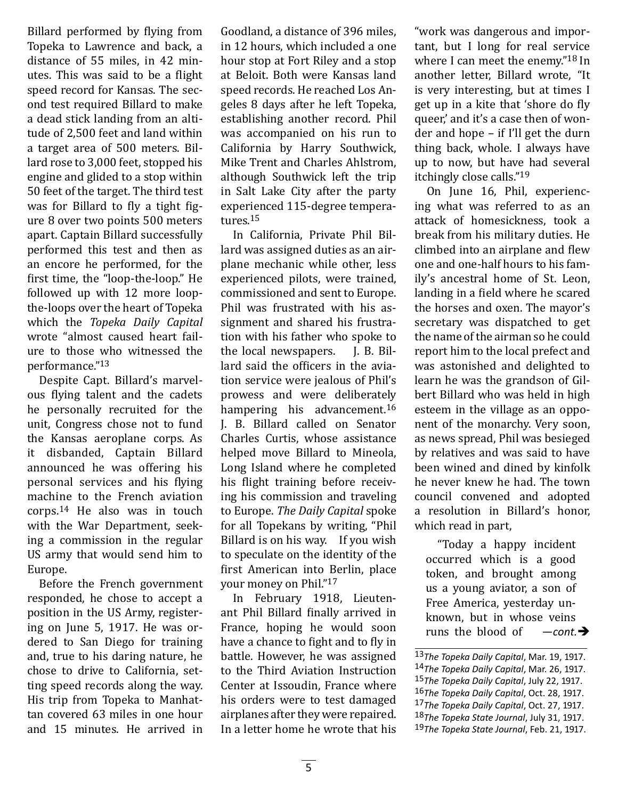Billard performed by flying from Topeka to Lawrence and back, a distance of 55 miles, in 42 minutes. This was said to be a flight speed record for Kansas. The second test required Billard to make a dead stick landing from an altitude of 2,500 feet and land within a target area of 500 meters. Billard rose to 3,000 feet, stopped his engine and glided to a stop within 50 feet of the target. The third test was for Billard to fly a tight figure 8 over two points 500 meters apart. Captain Billard successfully performed this test and then as an encore he performed, for the first time, the "loop-the-loop." He followed up with 12 more loopthe-loops over the heart of Topeka which the *Topeka Daily Capital*  wrote "almost caused heart failure to those who witnessed the performance."13

Despite Capt. Billard's marvelous flying talent and the cadets he personally recruited for the unit, Congress chose not to fund the Kansas aeroplane corps. As it disbanded, Captain Billard announced he was offering his personal services and his flying machine to the French aviation corps.14 He also was in touch with the War Department, seeking a commission in the regular US army that would send him to Europe.

Before the French government responded, he chose to accept a position in the US Army, registering on June 5, 1917. He was ordered to San Diego for training and, true to his daring nature, he chose to drive to California, setting speed records along the way. His trip from Topeka to Manhattan covered 63 miles in one hour and 15 minutes. He arrived in

Goodland, a distance of 396 miles, in 12 hours, which included a one hour stop at Fort Riley and a stop at Beloit. Both were Kansas land speed records. He reached Los Angeles 8 days after he left Topeka, establishing another record. Phil was accompanied on his run to California by Harry Southwick, Mike Trent and Charles Ahlstrom, although Southwick left the trip in Salt Lake City after the party experienced 115-degree temperatures.15

In California, Private Phil Billard was assigned duties as an airplane mechanic while other, less experienced pilots, were trained, commissioned and sent to Europe. Phil was frustrated with his assignment and shared his frustration with his father who spoke to the local newspapers. J. B. Billard said the officers in the aviation service were jealous of Phil's prowess and were deliberately hampering his advancement.<sup>16</sup> J. B. Billard called on Senator Charles Curtis, whose assistance helped move Billard to Mineola, Long Island where he completed his flight training before receiving his commission and traveling to Europe. *The Daily Capital* spoke for all Topekans by writing, "Phil Billard is on his way. If you wish to speculate on the identity of the first American into Berlin, place your money on Phil."17

In February 1918, Lieutenant Phil Billard finally arrived in France, hoping he would soon have a chance to fight and to fly in battle. However, he was assigned to the Third Aviation Instruction Center at Issoudin, France where his orders were to test damaged airplanes after they were repaired. In a letter home he wrote that his

"work was dangerous and important, but I long for real service where I can meet the enemy."<sup>18</sup> In another letter, Billard wrote, "It is very interesting, but at times I get up in a kite that 'shore do fly queer,' and it's a case then of wonder and hope – if I'll get the durn thing back, whole. I always have up to now, but have had several itchingly close calls."19

On June 16, Phil, experiencing what was referred to as an attack of homesickness, took a break from his military duties. He climbed into an airplane and flew one and one-half hours to his family's ancestral home of St. Leon, landing in a field where he scared the horses and oxen. The mayor's secretary was dispatched to get the name of the airman so he could report him to the local prefect and was astonished and delighted to learn he was the grandson of Gilbert Billard who was held in high esteem in the village as an opponent of the monarchy. Very soon, as news spread, Phil was besieged by relatives and was said to have been wined and dined by kinfolk he never knew he had. The town council convened and adopted a resolution in Billard's honor, which read in part,

"Today a happy incident occurred which is a good token, and brought among us a young aviator, a son of Free America, yesterday unknown, but in whose veins runs the blood of  $-$ *cont*. $\rightarrow$ 

13*The Topeka Daily Capital*, Mar. 19, 1917.

<sup>14</sup>*The Topeka Daily Capital*, Mar. 26, 1917.

<sup>15</sup>*The Topeka Daily Capital*, July 22, 1917.

<sup>16</sup>*The Topeka Daily Capital*, Oct. 28, 1917.

<sup>17</sup>*The Topeka Daily Capital*, Oct. 27, 1917. 18*The Topeka State Journal*, July 31, 1917.

<sup>19</sup>*The Topeka State Journal*, Feb. 21, 1917.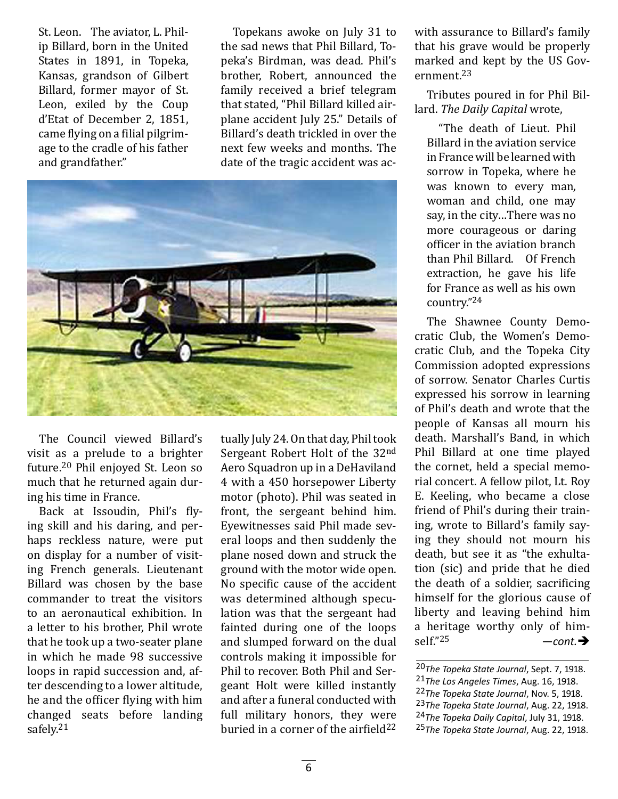St. Leon. The aviator, L. Philip Billard, born in the United States in 1891, in Topeka, Kansas, grandson of Gilbert Billard, former mayor of St. Leon, exiled by the Coup d'Etat of December 2, 1851, came flying on a filial pilgrimage to the cradle of his father and grandfather."

Topekans awoke on July 31 to the sad news that Phil Billard, Topeka's Birdman, was dead. Phil's brother, Robert, announced the family received a brief telegram that stated, "Phil Billard killed airplane accident July 25." Details of Billard's death trickled in over the next few weeks and months. The date of the tragic accident was ac-



The Council viewed Billard's visit as a prelude to a brighter future.20 Phil enjoyed St. Leon so much that he returned again during his time in France.

Back at Issoudin, Phil's flying skill and his daring, and perhaps reckless nature, were put on display for a number of visiting French generals. Lieutenant Billard was chosen by the base commander to treat the visitors to an aeronautical exhibition. In a letter to his brother, Phil wrote that he took up a two-seater plane in which he made 98 successive loops in rapid succession and, after descending to a lower altitude, he and the officer flying with him changed seats before landing safely.<sup>21</sup>

tually July 24. On that day, Phil took Sergeant Robert Holt of the 32nd Aero Squadron up in a DeHaviland 4 with a 450 horsepower Liberty motor (photo). Phil was seated in front, the sergeant behind him. Eyewitnesses said Phil made several loops and then suddenly the plane nosed down and struck the ground with the motor wide open. No specific cause of the accident was determined although speculation was that the sergeant had fainted during one of the loops and slumped forward on the dual controls making it impossible for Phil to recover. Both Phil and Sergeant Holt were killed instantly and after a funeral conducted with full military honors, they were buried in a corner of the airfield $^{22}$ 

with assurance to Billard's family that his grave would be properly marked and kept by the US Government.23

Tributes poured in for Phil Billard. *The Daily Capital* wrote,

"The death of Lieut. Phil Billard in the aviation service in France will be learned with sorrow in Topeka, where he was known to every man, woman and child, one may say, in the city…There was no more courageous or daring officer in the aviation branch than Phil Billard. Of French extraction, he gave his life for France as well as his own country."24

The Shawnee County Democratic Club, the Women's Democratic Club, and the Topeka City Commission adopted expressions of sorrow. Senator Charles Curtis expressed his sorrow in learning of Phil's death and wrote that the people of Kansas all mourn his death. Marshall's Band, in which Phil Billard at one time played the cornet, held a special memorial concert. A fellow pilot, Lt. Roy E. Keeling, who became a close friend of Phil's during their training, wrote to Billard's family saying they should not mourn his death, but see it as "the exhultation (sic) and pride that he died the death of a soldier, sacrificing himself for the glorious cause of liberty and leaving behind him a heritage worthy only of himself."25  $-$ *cont.* $\rightarrow$ 

20*The Topeka State Journal*, Sept. 7, 1918.

23*The Topeka State Journal*, Aug. 22, 1918.

<sup>21</sup>*The Los Angeles Times*, Aug. 16, 1918.

<sup>22</sup>*The Topeka State Journal*, Nov. 5, 1918.

<sup>24</sup>*The Topeka Daily Capital*, July 31, 1918.

<sup>25</sup>*The Topeka State Journal*, Aug. 22, 1918.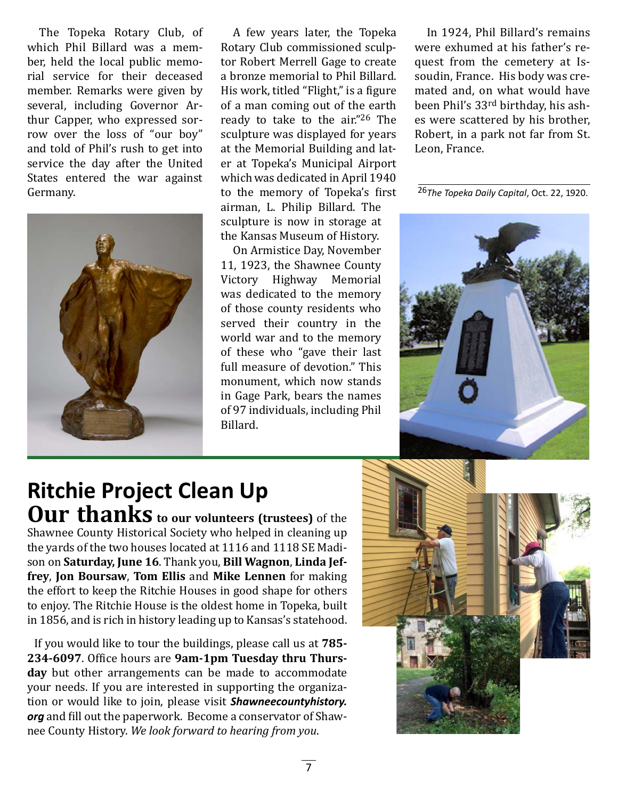The Topeka Rotary Club, of which Phil Billard was a member, held the local public memorial service for their deceased member. Remarks were given by several, including Governor Arthur Capper, who expressed sorrow over the loss of "our boy" and told of Phil's rush to get into service the day after the United States entered the war against Germany.



A few years later, the Topeka Rotary Club commissioned sculptor Robert Merrell Gage to create a bronze memorial to Phil Billard. His work, titled "Flight," is a figure of a man coming out of the earth ready to take to the air."26 The sculpture was displayed for years at the Memorial Building and later at Topeka's Municipal Airport which was dedicated in April 1940 to the memory of Topeka's first airman, L. Philip Billard. The sculpture is now in storage at the Kansas Museum of History.

On Armistice Day, November 11, 1923, the Shawnee County Victory Highway Memorial was dedicated to the memory of those county residents who served their country in the world war and to the memory of these who "gave their last full measure of devotion." This monument, which now stands in Gage Park, bears the names of 97 individuals, including Phil Billard.

In 1924, Phil Billard's remains were exhumed at his father's request from the cemetery at Issoudin, France. His body was cremated and, on what would have been Phil's 33rd birthday, his ashes were scattered by his brother, Robert, in a park not far from St. Leon, France.

26*The Topeka Daily Capital*, Oct. 22, 1920.



## **Ritchie Project Clean Up Our thanks to our volunteers (trustees)** of the

Shawnee County Historical Society who helped in cleaning up the yards of the two houses located at 1116 and 1118 SE Madison on **Saturday, June 16**. Thank you, **Bill Wagnon**, **Linda Jeffrey**, **Jon Boursaw**, **Tom Ellis** and **Mike Lennen** for making the effort to keep the Ritchie Houses in good shape for others to enjoy. The Ritchie House is the oldest home in Topeka, built in 1856, and is rich in history leading up to Kansas's statehood.

If you would like to tour the buildings, please call us at **785-**  234-6097. Office hours are 9am-1pm Tuesday thru Thurs**day** but other arrangements can be made to accommodate your needs. If you are interested in supporting the organization or would like to join, please visit *Shawneecountyhistory.* org and fill out the paperwork. Become a conservator of Shawnee County History. *We look forward to hearing from you*.

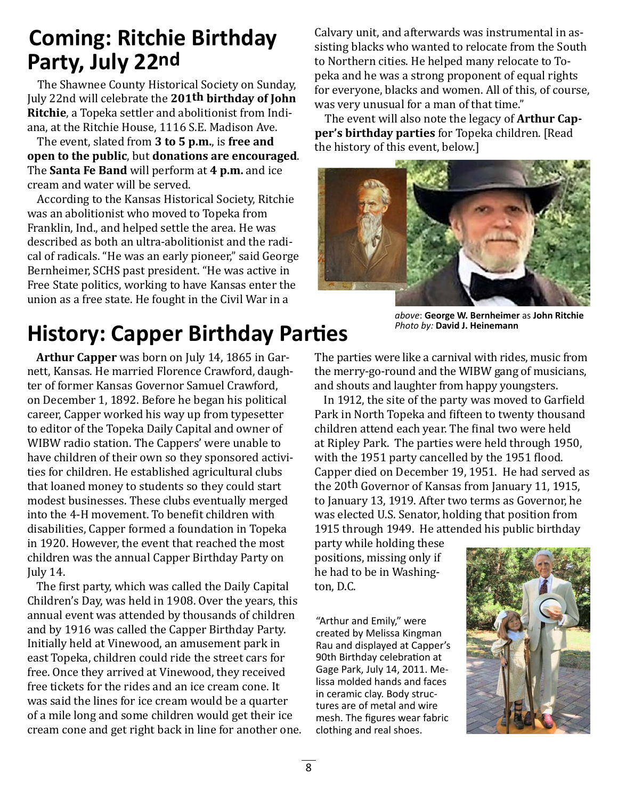## **Coming: Ritchie Birthday Party, July 22nd**

The Shawnee County Historical Society on Sunday, July 22nd will celebrate the **201th birthday of John Ritchie**, a Topeka settler and abolitionist from Indiana, at the Ritchie House, 1116 S.E. Madison Ave.

The event, slated from **3 to 5 p.m.**, is **free and open to the public**, but **donations are encouraged**. The **Santa Fe Band** will perform at **4 p.m.** and ice cream and water will be served.

According to the Kansas Historical Society, Ritchie was an abolitionist who moved to Topeka from Franklin, Ind., and helped settle the area. He was described as both an ultra-abolitionist and the radical of radicals. "He was an early pioneer," said George Bernheimer, SCHS past president. "He was active in Free State politics, working to have Kansas enter the union as a free state. He fought in the Civil War in a

Calvary unit, and afterwards was instrumental in assisting blacks who wanted to relocate from the South to Northern cities. He helped many relocate to Topeka and he was a strong proponent of equal rights for everyone, blacks and women. All of this, of course, was very unusual for a man of that time."

The event will also note the legacy of **Arthur Capper's birthday parties** for Topeka children. [Read the history of this event, below.]



*above*: **George W. Bernheimer** as **John Ritchie** *Photo by:* **David J. Heinemann**

## **History: Capper Birthday Parties**

**Arthur Capper** was born on July 14, 1865 in Garnett, Kansas. He married Florence Crawford, daughter of former Kansas Governor Samuel Crawford, on December 1, 1892. Before he began his political career, Capper worked his way up from typesetter to editor of the Topeka Daily Capital and owner of WIBW radio station. The Cappers' were unable to have children of their own so they sponsored activities for children. He established agricultural clubs that loaned money to students so they could start modest businesses. These clubs eventually merged into the 4-H movement. To benefit children with disabilities, Capper formed a foundation in Topeka in 1920. However, the event that reached the most children was the annual Capper Birthday Party on July 14.

The first party, which was called the Daily Capital Children's Day, was held in 1908. Over the years, this annual event was attended by thousands of children and by 1916 was called the Capper Birthday Party. Initially held at Vinewood, an amusement park in east Topeka, children could ride the street cars for free. Once they arrived at Vinewood, they received free tickets for the rides and an ice cream cone. It was said the lines for ice cream would be a quarter of a mile long and some children would get their ice cream cone and get right back in line for another one. The parties were like a carnival with rides, music from the merry-go-round and the WIBW gang of musicians, and shouts and laughter from happy youngsters.

In 1912, the site of the party was moved to Garfield Park in North Topeka and fifteen to twenty thousand children attend each year. The final two were held at Ripley Park. The parties were held through 1950, with the 1951 party cancelled by the 1951 flood. Capper died on December 19, 1951. He had served as the 20th Governor of Kansas from January 11, 1915, to January 13, 1919. After two terms as Governor, he was elected U.S. Senator, holding that position from 1915 through 1949. He attended his public birthday

party while holding these positions, missing only if he had to be in Washington, D.C.

"Arthur and Emily," were created by Melissa Kingman Rau and displayed at Capper's 90th Birthday celebration at Gage Park, July 14, 2011. Melissa molded hands and faces in ceramic clay. Body structures are of metal and wire mesh. The figures wear fabric clothing and real shoes.

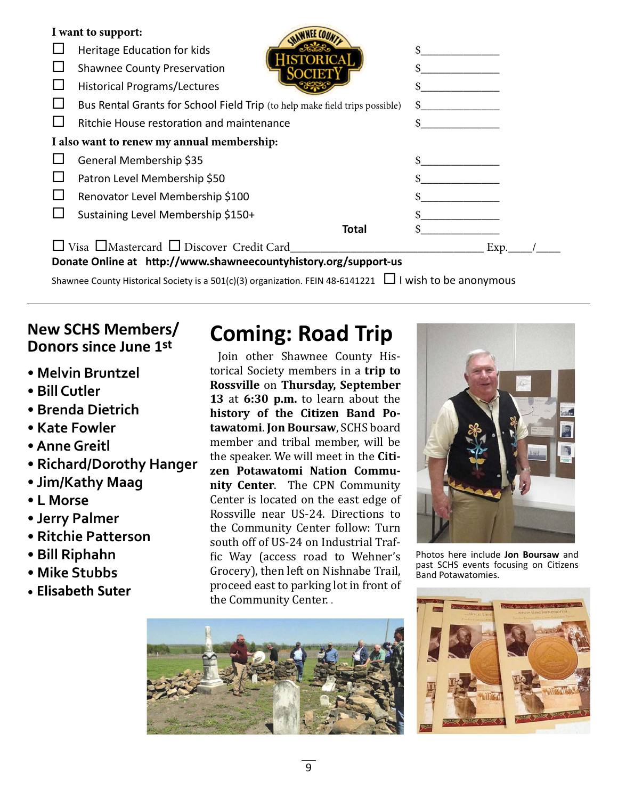| I want to support:                                                          |      |
|-----------------------------------------------------------------------------|------|
| Heritage Education for kids                                                 | \$.  |
| <b>Shawnee County Preservation</b>                                          |      |
| <b>Historical Programs/Lectures</b>                                         |      |
| Bus Rental Grants for School Field Trip (to help make field trips possible) | \$   |
| Ritchie House restoration and maintenance                                   |      |
| I also want to renew my annual membership:                                  |      |
| General Membership \$35                                                     |      |
| Patron Level Membership \$50                                                |      |
| Renovator Level Membership \$100                                            |      |
| Sustaining Level Membership \$150+                                          |      |
| Total                                                                       |      |
| $\Box$ Visa $\Box$ Mastercard $\Box$ Discover Credit Card                   | Exp. |
| Donate Online at http://www.shawneecountyhistory.org/support-us             |      |

Shawnee County Historical Society is a 501(c)(3) organization. FEIN 48-6141221  $\Box$  I wish to be anonymous

## **New SCHS Members/ Donors since June 1st**

- **Melvin Bruntzel**
- **Bill Cutler**
- **Brenda Dietrich**
- **Kate Fowler**
- **Anne Greitl**
- **Richard/Dorothy Hanger**
- **Jim/Kathy Maag**
- **L Morse**
- **Jerry Palmer**
- **Ritchie Patterson**
- **Bill Riphahn**
- **Mike Stubbs**
- **• Elisabeth Suter**

# **Coming: Road Trip**

Join other Shawnee County Historical Society members in a **trip to Rossville** on **Thursday, September 13** at **6:30 p.m.** to learn about the **history of the Citizen Band Potawatomi**. **Jon Boursaw**, SCHS board member and tribal member, will be the speaker. We will meet in the **Citizen Potawatomi Nation Community Center**. The CPN Community Center is located on the east edge of Rossville near US-24. Directions to the Community Center follow: Turn south off of US-24 on Industrial Traffic Way (access road to Wehner's Grocery), then left on Nishnabe Trail, proceed east to parking lot in front of the Community Center. .



Photos here include **Jon Boursaw** and past SCHS events focusing on Citizens Band Potawatomies.